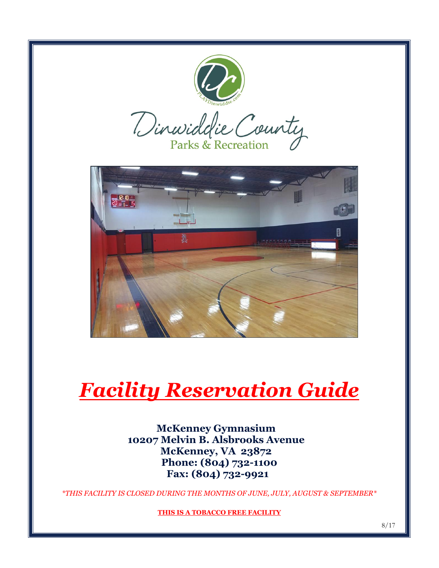

**THIS IS A TOBACCO FREE FACILITY**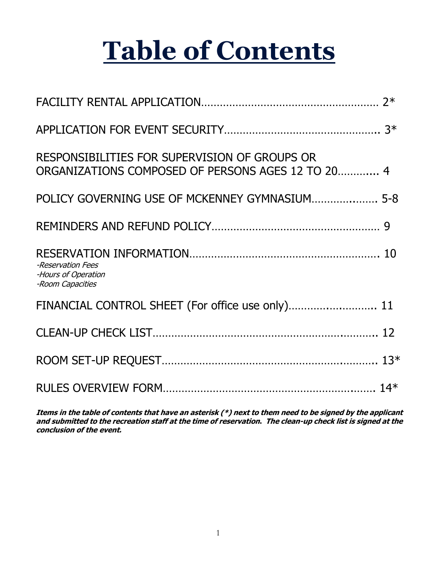# **Table of Contents**

| RESPONSIBILITIES FOR SUPERVISION OF GROUPS OR<br>ORGANIZATIONS COMPOSED OF PERSONS AGES 12 TO 20 4 |  |
|----------------------------------------------------------------------------------------------------|--|
| POLICY GOVERNING USE OF MCKENNEY GYMNASIUM 5-8                                                     |  |
|                                                                                                    |  |
| -Reservation Fees<br>-Hours of Operation<br>-Room Capacities                                       |  |
| FINANCIAL CONTROL SHEET (For office use only) 11                                                   |  |
|                                                                                                    |  |
|                                                                                                    |  |
|                                                                                                    |  |

**Items in the table of contents that have an asterisk (\*) next to them need to be signed by the applicant and submitted to the recreation staff at the time of reservation. The clean-up check list is signed at the conclusion of the event.**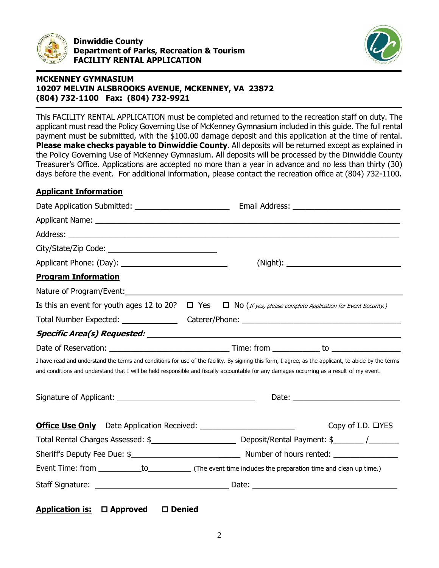

**Dinwiddie County Department of Parks, Recreation & Tourism FACILITY RENTAL APPLICATION** 



# **MCKENNEY GYMNASIUM 10207 MELVIN ALSBROOKS AVENUE, MCKENNEY, VA 23872 (804) 732-1100 Fax: (804) 732-9921**

This FACILITY RENTAL APPLICATION must be completed and returned to the recreation staff on duty. The applicant must read the Policy Governing Use of McKenney Gymnasium included in this guide. The full rental payment must be submitted, with the \$100.00 damage deposit and this application at the time of rental. **Please make checks payable to Dinwiddie County**. All deposits will be returned except as explained in the Policy Governing Use of McKenney Gymnasium. All deposits will be processed by the Dinwiddie County Treasurer's Office. Applications are accepted no more than a year in advance and no less than thirty (30) days before the event. For additional information, please contact the recreation office at (804) 732-1100.

# **Applicant Information**

| <b>Program Information</b> |                                                                                                                                                                                                                                                                                                  |
|----------------------------|--------------------------------------------------------------------------------------------------------------------------------------------------------------------------------------------------------------------------------------------------------------------------------------------------|
|                            |                                                                                                                                                                                                                                                                                                  |
|                            | Is this an event for youth ages 12 to 20? $\Box$ Yes $\Box$ No (If yes, please complete Application for Event Security.)                                                                                                                                                                         |
|                            |                                                                                                                                                                                                                                                                                                  |
|                            |                                                                                                                                                                                                                                                                                                  |
|                            |                                                                                                                                                                                                                                                                                                  |
|                            | I have read and understand the terms and conditions for use of the facility. By signing this form, I agree, as the applicant, to abide by the terms<br>and conditions and understand that I will be held responsible and fiscally accountable for any damages occurring as a result of my event. |
|                            |                                                                                                                                                                                                                                                                                                  |
|                            | Copy of I.D. □YES                                                                                                                                                                                                                                                                                |
|                            |                                                                                                                                                                                                                                                                                                  |
|                            |                                                                                                                                                                                                                                                                                                  |
|                            |                                                                                                                                                                                                                                                                                                  |
|                            |                                                                                                                                                                                                                                                                                                  |

|  | <b>Application is:</b> | $\square$ Approved | $\square$ Denied |
|--|------------------------|--------------------|------------------|
|--|------------------------|--------------------|------------------|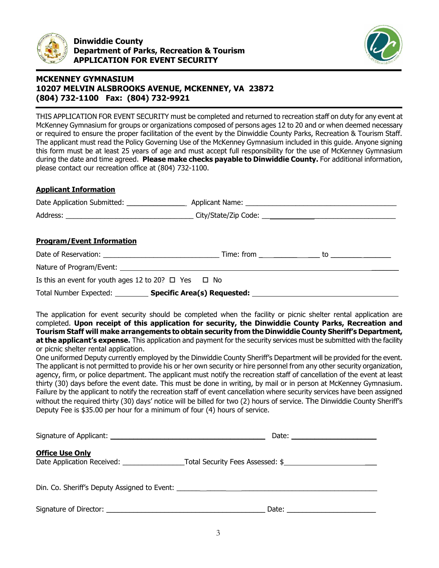



THIS APPLICATION FOR EVENT SECURITY must be completed and returned to recreation staff on duty for any event at McKenney Gymnasium for groups or organizations composed of persons ages 12 to 20 and or when deemed necessary or required to ensure the proper facilitation of the event by the Dinwiddie County Parks, Recreation & Tourism Staff. The applicant must read the Policy Governing Use of the McKenney Gymnasium included in this guide. Anyone signing this form must be at least 25 years of age and must accept full responsibility for the use of McKenney Gymnasium during the date and time agreed. **Please make checks payable to Dinwiddie County.** For additional information, please contact our recreation office at (804) 732-1100.

#### **Applicant Information**

| <b>Program/Event Information</b>                               |  |  |
|----------------------------------------------------------------|--|--|
|                                                                |  |  |
|                                                                |  |  |
| Is this an event for youth ages 12 to 20? $\Box$ Yes $\Box$ No |  |  |
|                                                                |  |  |

The application for event security should be completed when the facility or picnic shelter rental application are completed. **Upon receipt of this application for security, the Dinwiddie County Parks, Recreation and Tourism Staff will make arrangements to obtain security from the Dinwiddie County Sheriff's Department, at the applicant's expense.** This application and payment for the security services must be submitted with the facility or picnic shelter rental application.

One uniformed Deputy currently employed by the Dinwiddie County Sheriff's Department will be provided for the event. The applicant is not permitted to provide his or her own security or hire personnel from any other security organization, agency, firm, or police department. The applicant must notify the recreation staff of cancellation of the event at least thirty (30) days before the event date. This must be done in writing, by mail or in person at McKenney Gymnasium. Failure by the applicant to notify the recreation staff of event cancellation where security services have been assigned without the required thirty (30) days' notice will be billed for two (2) hours of service. The Dinwiddie County Sheriff's Deputy Fee is \$35.00 per hour for a minimum of four (4) hours of service.

| Signature of Applicant: Signature of Applicant:                                  | Date: $\qquad \qquad$                                                                                                                                                                                                          |
|----------------------------------------------------------------------------------|--------------------------------------------------------------------------------------------------------------------------------------------------------------------------------------------------------------------------------|
| <b>Office Use Only</b><br>Date Application Received: _______                     | Total Security Fees Assessed: \$                                                                                                                                                                                               |
| Din. Co. Sheriff's Deputy Assigned to Event: ___________________________________ |                                                                                                                                                                                                                                |
|                                                                                  | Date: the contract of the contract of the contract of the contract of the contract of the contract of the contract of the contract of the contract of the contract of the contract of the contract of the contract of the cont |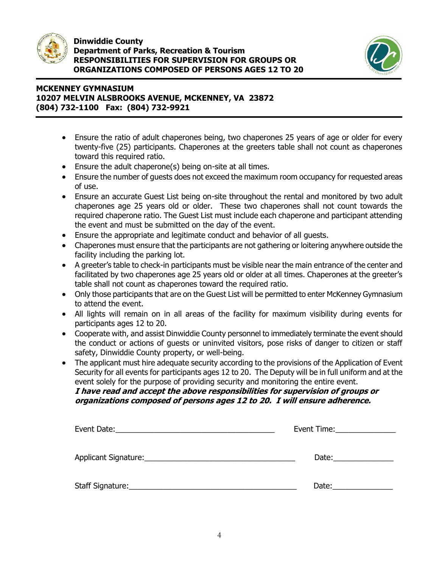



- Ensure the ratio of adult chaperones being, two chaperones 25 years of age or older for every twenty-five (25) participants. Chaperones at the greeters table shall not count as chaperones toward this required ratio.
- Ensure the adult chaperone(s) being on-site at all times.
- Ensure the number of guests does not exceed the maximum room occupancy for requested areas of use.
- Ensure an accurate Guest List being on-site throughout the rental and monitored by two adult chaperones age 25 years old or older. These two chaperones shall not count towards the required chaperone ratio. The Guest List must include each chaperone and participant attending the event and must be submitted on the day of the event.
- Ensure the appropriate and legitimate conduct and behavior of all guests.
- Chaperones must ensure that the participants are not gathering or loitering anywhere outside the facility including the parking lot.
- A greeter's table to check-in participants must be visible near the main entrance of the center and facilitated by two chaperones age 25 years old or older at all times. Chaperones at the greeter's table shall not count as chaperones toward the required ratio.
- Only those participants that are on the Guest List will be permitted to enter McKenney Gymnasium to attend the event.
- All lights will remain on in all areas of the facility for maximum visibility during events for participants ages 12 to 20.
- Cooperate with, and assist Dinwiddie County personnel to immediately terminate the event should the conduct or actions of guests or uninvited visitors, pose risks of danger to citizen or staff safety, Dinwiddie County property, or well-being.
- The applicant must hire adequate security according to the provisions of the Application of Event Security for all events for participants ages 12 to 20. The Deputy will be in full uniform and at the event solely for the purpose of providing security and monitoring the entire event. **I have read and accept the above responsibilities for supervision of groups or**

# **organizations composed of persons ages 12 to 20. I will ensure adherence.**

| Event Date:<br><u> 1989 - Johann Stein, mars and de families and de families and descriptions of the state of the state of the s</u> | Event Time: Event Time: |
|--------------------------------------------------------------------------------------------------------------------------------------|-------------------------|
|                                                                                                                                      |                         |
| Applicant Signature: 1997 - 1997 - 1998 - 1999 - 1999 - 1999 - 1999 - 1999 - 1999 - 1999 - 1999 - 1999 - 1999                        | Date: $\sqrt{ }$        |
|                                                                                                                                      |                         |
| Staff Signature:                                                                                                                     | Date:                   |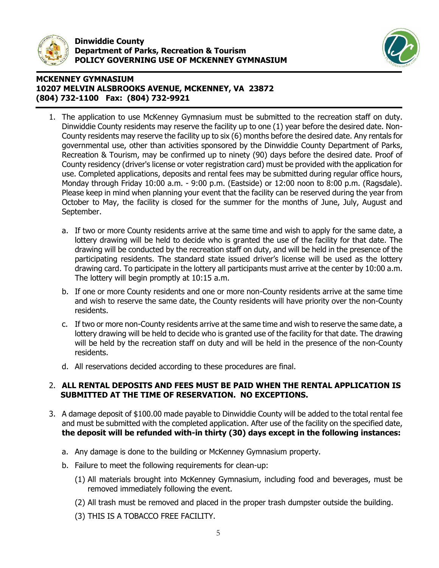



- 1. The application to use McKenney Gymnasium must be submitted to the recreation staff on duty. Dinwiddie County residents may reserve the facility up to one (1) year before the desired date. Non-County residents may reserve the facility up to six (6) months before the desired date. Any rentals for governmental use, other than activities sponsored by the Dinwiddie County Department of Parks, Recreation & Tourism, may be confirmed up to ninety (90) days before the desired date. Proof of County residency (driver's license or voter registration card) must be provided with the application for use. Completed applications, deposits and rental fees may be submitted during regular office hours, Monday through Friday 10:00 a.m. - 9:00 p.m. (Eastside) or 12:00 noon to 8:00 p.m. (Ragsdale). Please keep in mind when planning your event that the facility can be reserved during the year from October to May, the facility is closed for the summer for the months of June, July, August and September.
	- a. If two or more County residents arrive at the same time and wish to apply for the same date, a lottery drawing will be held to decide who is granted the use of the facility for that date. The drawing will be conducted by the recreation staff on duty, and will be held in the presence of the participating residents. The standard state issued driver's license will be used as the lottery drawing card. To participate in the lottery all participants must arrive at the center by 10:00 a.m. The lottery will begin promptly at 10:15 a.m.
	- b. If one or more County residents and one or more non-County residents arrive at the same time and wish to reserve the same date, the County residents will have priority over the non-County residents.
	- c. If two or more non-County residents arrive at the same time and wish to reserve the same date, a lottery drawing will be held to decide who is granted use of the facility for that date. The drawing will be held by the recreation staff on duty and will be held in the presence of the non-County residents.
	- d. All reservations decided according to these procedures are final.

#### 2. **ALL RENTAL DEPOSITS AND FEES MUST BE PAID WHEN THE RENTAL APPLICATION IS SUBMITTED AT THE TIME OF RESERVATION. NO EXCEPTIONS.**

- 3. A damage deposit of \$100.00 made payable to Dinwiddie County will be added to the total rental fee and must be submitted with the completed application. After use of the facility on the specified date, **the deposit will be refunded with-in thirty (30) days except in the following instances:**
	- a. Any damage is done to the building or McKenney Gymnasium property.
	- b. Failure to meet the following requirements for clean-up:
		- (1) All materials brought into McKenney Gymnasium, including food and beverages, must be removed immediately following the event.
		- (2) All trash must be removed and placed in the proper trash dumpster outside the building.
		- (3) THIS IS A TOBACCO FREE FACILITY.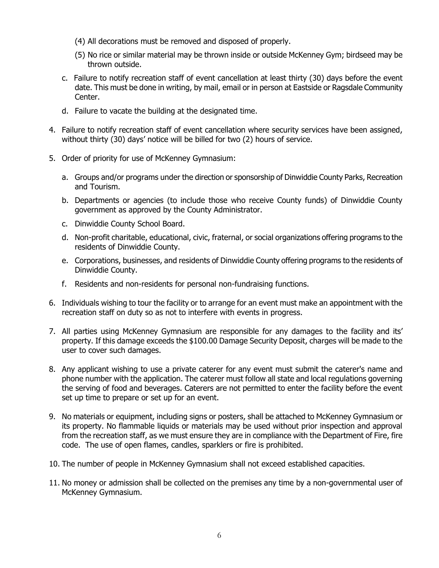- (4) All decorations must be removed and disposed of properly.
- (5) No rice or similar material may be thrown inside or outside McKenney Gym; birdseed may be thrown outside.
- c. Failure to notify recreation staff of event cancellation at least thirty (30) days before the event date. This must be done in writing, by mail, email or in person at Eastside or Ragsdale Community Center.
- d. Failure to vacate the building at the designated time.
- 4. Failure to notify recreation staff of event cancellation where security services have been assigned, without thirty (30) days' notice will be billed for two (2) hours of service.
- 5. Order of priority for use of McKenney Gymnasium:
	- a. Groups and/or programs under the direction or sponsorship of Dinwiddie County Parks, Recreation and Tourism.
	- b. Departments or agencies (to include those who receive County funds) of Dinwiddie County government as approved by the County Administrator.
	- c. Dinwiddie County School Board.
	- d. Non-profit charitable, educational, civic, fraternal, or social organizations offering programs to the residents of Dinwiddie County.
	- e. Corporations, businesses, and residents of Dinwiddie County offering programs to the residents of Dinwiddie County.
	- f. Residents and non-residents for personal non-fundraising functions.
- 6. Individuals wishing to tour the facility or to arrange for an event must make an appointment with the recreation staff on duty so as not to interfere with events in progress.
- 7. All parties using McKenney Gymnasium are responsible for any damages to the facility and its' property. If this damage exceeds the \$100.00 Damage Security Deposit, charges will be made to the user to cover such damages.
- 8. Any applicant wishing to use a private caterer for any event must submit the caterer's name and phone number with the application. The caterer must follow all state and local regulations governing the serving of food and beverages. Caterers are not permitted to enter the facility before the event set up time to prepare or set up for an event.
- 9. No materials or equipment, including signs or posters, shall be attached to McKenney Gymnasium or its property. No flammable liquids or materials may be used without prior inspection and approval from the recreation staff, as we must ensure they are in compliance with the Department of Fire, fire code. The use of open flames, candles, sparklers or fire is prohibited.
- 10. The number of people in McKenney Gymnasium shall not exceed established capacities.
- 11. No money or admission shall be collected on the premises any time by a non-governmental user of McKenney Gymnasium.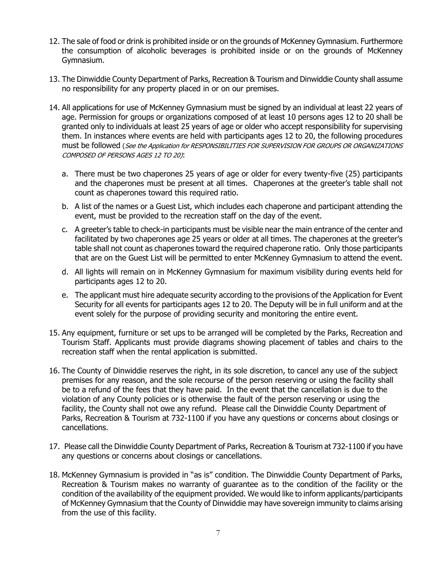- 12. The sale of food or drink is prohibited inside or on the grounds of McKenney Gymnasium. Furthermore the consumption of alcoholic beverages is prohibited inside or on the grounds of McKenney Gymnasium.
- 13. The Dinwiddie County Department of Parks, Recreation & Tourism and Dinwiddie County shall assume no responsibility for any property placed in or on our premises.
- 14. All applications for use of McKenney Gymnasium must be signed by an individual at least 22 years of age. Permission for groups or organizations composed of at least 10 persons ages 12 to 20 shall be granted only to individuals at least 25 years of age or older who accept responsibility for supervising them. In instances where events are held with participants ages 12 to 20, the following procedures must be followed (See the Application for RESPONSIBILITIES FOR SUPERVISION FOR GROUPS OR ORGANIZATIONS COMPOSED OF PERSONS AGES 12 TO 20):
	- a. There must be two chaperones 25 years of age or older for every twenty-five (25) participants and the chaperones must be present at all times. Chaperones at the greeter's table shall not count as chaperones toward this required ratio.
	- b. A list of the names or a Guest List, which includes each chaperone and participant attending the event, must be provided to the recreation staff on the day of the event.
	- c. A greeter's table to check-in participants must be visible near the main entrance of the center and facilitated by two chaperones age 25 years or older at all times. The chaperones at the greeter's table shall not count as chaperones toward the required chaperone ratio. Only those participants that are on the Guest List will be permitted to enter McKenney Gymnasium to attend the event.
	- d. All lights will remain on in McKenney Gymnasium for maximum visibility during events held for participants ages 12 to 20.
	- e. The applicant must hire adequate security according to the provisions of the Application for Event Security for all events for participants ages 12 to 20. The Deputy will be in full uniform and at the event solely for the purpose of providing security and monitoring the entire event.
- 15. Any equipment, furniture or set ups to be arranged will be completed by the Parks, Recreation and Tourism Staff. Applicants must provide diagrams showing placement of tables and chairs to the recreation staff when the rental application is submitted.
- 16. The County of Dinwiddie reserves the right, in its sole discretion, to cancel any use of the subject premises for any reason, and the sole recourse of the person reserving or using the facility shall be to a refund of the fees that they have paid. In the event that the cancellation is due to the violation of any County policies or is otherwise the fault of the person reserving or using the facility, the County shall not owe any refund. Please call the Dinwiddie County Department of Parks, Recreation & Tourism at 732-1100 if you have any questions or concerns about closings or cancellations.
- 17. Please call the Dinwiddie County Department of Parks, Recreation & Tourism at 732-1100 if you have any questions or concerns about closings or cancellations.
- 18. McKenney Gymnasium is provided in "as is" condition. The Dinwiddie County Department of Parks, Recreation & Tourism makes no warranty of guarantee as to the condition of the facility or the condition of the availability of the equipment provided. We would like to inform applicants/participants of McKenney Gymnasium that the County of Dinwiddie may have sovereign immunity to claims arising from the use of this facility.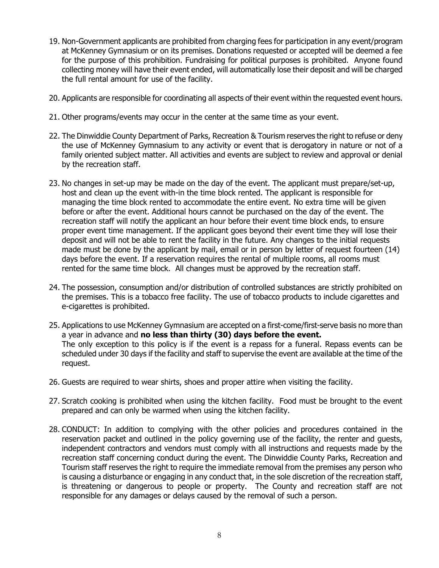- 19. Non-Government applicants are prohibited from charging fees for participation in any event/program at McKenney Gymnasium or on its premises. Donations requested or accepted will be deemed a fee for the purpose of this prohibition. Fundraising for political purposes is prohibited. Anyone found collecting money will have their event ended, will automatically lose their deposit and will be charged the full rental amount for use of the facility.
- 20. Applicants are responsible for coordinating all aspects of their event within the requested event hours.
- 21. Other programs/events may occur in the center at the same time as your event.
- 22. The Dinwiddie County Department of Parks, Recreation & Tourism reserves the right to refuse or deny the use of McKenney Gymnasium to any activity or event that is derogatory in nature or not of a family oriented subject matter. All activities and events are subject to review and approval or denial by the recreation staff.
- 23. No changes in set-up may be made on the day of the event. The applicant must prepare/set-up, host and clean up the event with-in the time block rented. The applicant is responsible for managing the time block rented to accommodate the entire event. No extra time will be given before or after the event. Additional hours cannot be purchased on the day of the event. The recreation staff will notify the applicant an hour before their event time block ends, to ensure proper event time management. If the applicant goes beyond their event time they will lose their deposit and will not be able to rent the facility in the future. Any changes to the initial requests made must be done by the applicant by mail, email or in person by letter of request fourteen (14) days before the event. If a reservation requires the rental of multiple rooms, all rooms must rented for the same time block. All changes must be approved by the recreation staff.
- 24. The possession, consumption and/or distribution of controlled substances are strictly prohibited on the premises. This is a tobacco free facility. The use of tobacco products to include cigarettes and e-cigarettes is prohibited.
- 25. Applications to use McKenney Gymnasium are accepted on a first-come/first-serve basis no more than a year in advance and **no less than thirty (30) days before the event.** The only exception to this policy is if the event is a repass for a funeral. Repass events can be scheduled under 30 days if the facility and staff to supervise the event are available at the time of the request.
- 26. Guests are required to wear shirts, shoes and proper attire when visiting the facility.
- 27. Scratch cooking is prohibited when using the kitchen facility. Food must be brought to the event prepared and can only be warmed when using the kitchen facility.
- 28. CONDUCT: In addition to complying with the other policies and procedures contained in the reservation packet and outlined in the policy governing use of the facility, the renter and guests, independent contractors and vendors must comply with all instructions and requests made by the recreation staff concerning conduct during the event. The Dinwiddie County Parks, Recreation and Tourism staff reserves the right to require the immediate removal from the premises any person who is causing a disturbance or engaging in any conduct that, in the sole discretion of the recreation staff, is threatening or dangerous to people or property. The County and recreation staff are not responsible for any damages or delays caused by the removal of such a person.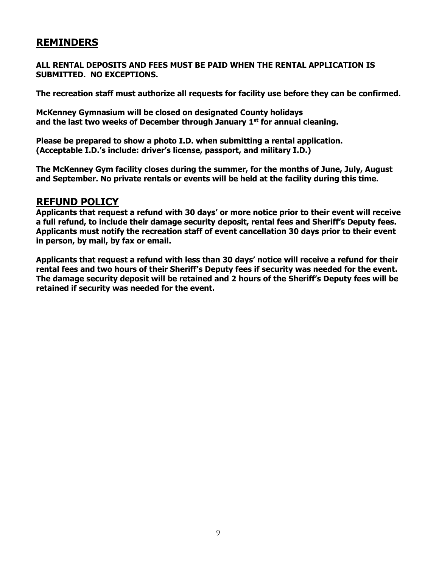# **REMINDERS**

**ALL RENTAL DEPOSITS AND FEES MUST BE PAID WHEN THE RENTAL APPLICATION IS SUBMITTED. NO EXCEPTIONS.**

**The recreation staff must authorize all requests for facility use before they can be confirmed.**

**McKenney Gymnasium will be closed on designated County holidays and the last two weeks of December through January 1 st for annual cleaning.**

**Please be prepared to show a photo I.D. when submitting a rental application. (Acceptable I.D.'s include: driver's license, passport, and military I.D.)** 

**The McKenney Gym facility closes during the summer, for the months of June, July, August and September. No private rentals or events will be held at the facility during this time.**

# **REFUND POLICY**

**Applicants that request a refund with 30 days' or more notice prior to their event will receive a full refund, to include their damage security deposit, rental fees and Sheriff's Deputy fees. Applicants must notify the recreation staff of event cancellation 30 days prior to their event in person, by mail, by fax or email.**

**Applicants that request a refund with less than 30 days' notice will receive a refund for their rental fees and two hours of their Sheriff's Deputy fees if security was needed for the event. The damage security deposit will be retained and 2 hours of the Sheriff's Deputy fees will be retained if security was needed for the event.**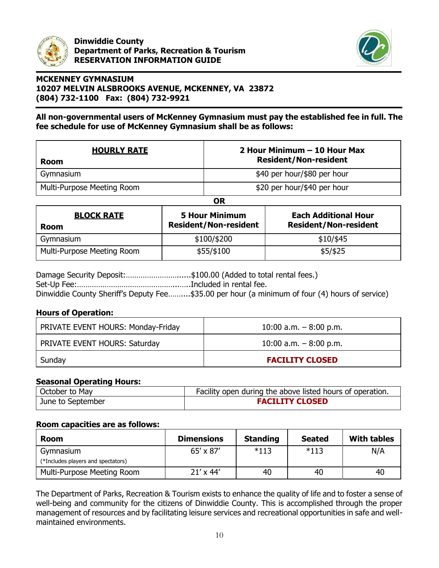

**Dinwiddie County Department of Parks, Recreation & Tourism RESERVATION INFORMATION GUIDE**



# **MCKENNEY GYMNASIUM 10207 MELVIN ALSBROOKS AVENUE, MCKENNEY, VA 23872 (804) 732-1100 Fax: (804) 732-9921**

#### **All non-governmental users of McKenney Gymnasium must pay the established fee in full. The fee schedule for use of McKenney Gymnasium shall be as follows:**

| <b>HOURLY RATE</b><br><b>Room</b> | 2 Hour Minimum - 10 Hour Max<br><b>Resident/Non-resident</b> |
|-----------------------------------|--------------------------------------------------------------|
| Gymnasium                         | \$40 per hour/\$80 per hour                                  |
| Multi-Purpose Meeting Room        | \$20 per hour/\$40 per hour                                  |
|                                   | OR                                                           |

| <b>BLOCK RATE</b><br><b>Room</b> | <b>5 Hour Minimum</b><br><b>Resident/Non-resident</b> | <b>Each Additional Hour</b><br><b>Resident/Non-resident</b> |
|----------------------------------|-------------------------------------------------------|-------------------------------------------------------------|
| Gymnasium                        | \$100/\$200                                           | $$10/$ \$45                                                 |
| Multi-Purpose Meeting Room       | \$55/\$100                                            | $$5/$ \$25                                                  |

Damage Security Deposit:.............................\$100.00 (Added to total rental fees.) Set-Up Fee:………………………………………...…..Included in rental fee. Dinwiddie County Sheriff's Deputy Fee……....\$35.00 per hour (a minimum of four (4) hours of service)

#### **Hours of Operation:**

| Sunday                             | <b>FACILITY CLOSED</b>  |
|------------------------------------|-------------------------|
| PRIVATE EVENT HOURS: Saturday      | 10:00 a.m. $-8:00$ p.m. |
| PRIVATE EVENT HOURS: Monday-Friday | 10:00 a.m. $-8:00$ p.m. |

#### **Seasonal Operating Hours:**

| October to May    | Facility open during the above listed hours of operation. |
|-------------------|-----------------------------------------------------------|
| June to September | <b>FACILITY CLOSED</b>                                    |

#### **Room capacities are as follows:**

| <b>Room</b>                        | <b>Dimensions</b> | <b>Standing</b> | <b>Seated</b> | <b>With tables</b> |
|------------------------------------|-------------------|-----------------|---------------|--------------------|
| Gymnasium                          | 65' x 87'         | $*113$          | $*113$        | N/A                |
| (*Includes players and spectators) |                   |                 |               |                    |
| Multi-Purpose Meeting Room         | $21' \times 44'$  | 40              | 40            | 40                 |

The Department of Parks, Recreation & Tourism exists to enhance the quality of life and to foster a sense of well-being and community for the citizens of Dinwiddie County. This is accomplished through the proper management of resources and by facilitating leisure services and recreational opportunities in safe and wellmaintained environments.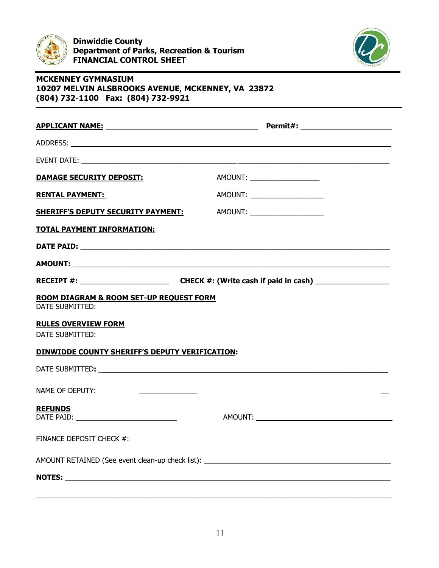



| <b>DAMAGE SECURITY DEPOSIT:</b>                | AMOUNT: _____________________                                                                                                                                                                                                  |  |
|------------------------------------------------|--------------------------------------------------------------------------------------------------------------------------------------------------------------------------------------------------------------------------------|--|
| <b>RENTAL PAYMENT:</b>                         | AMOUNT: _______________________                                                                                                                                                                                                |  |
| <b>SHERIFF'S DEPUTY SECURITY PAYMENT:</b>      | AMOUNT: _____________________                                                                                                                                                                                                  |  |
| <b>TOTAL PAYMENT INFORMATION:</b>              |                                                                                                                                                                                                                                |  |
|                                                |                                                                                                                                                                                                                                |  |
|                                                |                                                                                                                                                                                                                                |  |
|                                                |                                                                                                                                                                                                                                |  |
| ROOM DIAGRAM & ROOM SET-UP REQUEST FORM        |                                                                                                                                                                                                                                |  |
| <b>RULES OVERVIEW FORM</b>                     |                                                                                                                                                                                                                                |  |
|                                                |                                                                                                                                                                                                                                |  |
| DINWIDDE COUNTY SHERIFF'S DEPUTY VERIFICATION: |                                                                                                                                                                                                                                |  |
|                                                | DATE SUBMITTED: New York Subsequent And Subsequent And Subsequent And Subsequent And Subsequent And Subsequent And Subsequent And Subsequent And Subsequent And Subsequent And Subsequent And Subsequent And Subsequent And Su |  |
|                                                |                                                                                                                                                                                                                                |  |
| <b>REFUNDS</b>                                 |                                                                                                                                                                                                                                |  |
| FINANCE DEPOSIT CHECK #:                       |                                                                                                                                                                                                                                |  |
|                                                | AMOUNT RETAINED (See event clean-up check list): ________________________________                                                                                                                                              |  |
|                                                |                                                                                                                                                                                                                                |  |
|                                                |                                                                                                                                                                                                                                |  |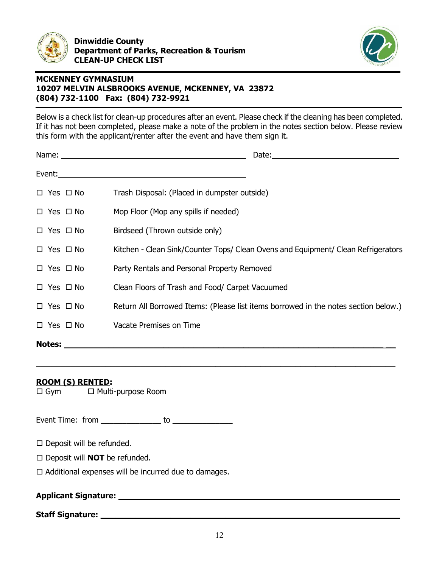



Below is a check list for clean-up procedures after an event. Please check if the cleaning has been completed. If it has not been completed, please make a note of the problem in the notes section below. Please review this form with the applicant/renter after the event and have them sign it.

|                      | Date: the contract of the contract of the contract of the contract of the contract of the contract of the contract of the contract of the contract of the contract of the contract of the contract of the contract of the cont |
|----------------------|--------------------------------------------------------------------------------------------------------------------------------------------------------------------------------------------------------------------------------|
|                      |                                                                                                                                                                                                                                |
| $\Box$ Yes $\Box$ No | Trash Disposal: (Placed in dumpster outside)                                                                                                                                                                                   |
| $\Box$ Yes $\Box$ No | Mop Floor (Mop any spills if needed)                                                                                                                                                                                           |
| $\Box$ Yes $\Box$ No | Birdseed (Thrown outside only)                                                                                                                                                                                                 |
| $\Box$ Yes $\Box$ No | Kitchen - Clean Sink/Counter Tops/ Clean Ovens and Equipment/ Clean Refrigerators                                                                                                                                              |
| $\Box$ Yes $\Box$ No | Party Rentals and Personal Property Removed                                                                                                                                                                                    |
| $\Box$ Yes $\Box$ No | Clean Floors of Trash and Food/ Carpet Vacuumed                                                                                                                                                                                |
| $\Box$ Yes $\Box$ No | Return All Borrowed Items: (Please list items borrowed in the notes section below.)                                                                                                                                            |
| $\Box$ Yes $\Box$ No | Vacate Premises on Time                                                                                                                                                                                                        |
| <b>Notes:</b>        |                                                                                                                                                                                                                                |

**\_\_\_\_\_\_\_\_\_\_\_\_\_\_\_\_\_\_\_\_\_\_\_\_\_\_\_\_\_\_\_\_\_\_\_\_\_\_\_\_\_\_\_\_\_\_\_\_\_\_\_\_\_\_\_\_\_\_\_\_\_\_\_\_\_\_\_\_\_\_\_\_**

# **ROOM (S) RENTED:**

 $\square$  Gym  $\square$  Multi-purpose Room

Event Time: from \_\_\_\_\_\_\_\_\_\_\_\_\_\_ to \_\_\_\_\_\_\_\_\_\_\_\_\_\_

 $\square$  Deposit will be refunded.

□ Deposit will **NOT** be refunded.

 $\Box$  Additional expenses will be incurred due to damages.

**Applicant Signature: \_\_ \_\_\_\_\_\_\_\_\_\_\_\_\_\_\_\_\_\_\_\_\_\_\_\_\_\_\_\_\_\_\_\_\_\_\_\_\_\_\_\_\_\_\_\_\_\_\_\_\_\_\_\_\_**

**Staff Signature: \_\_\_\_\_\_\_\_\_\_\_\_\_\_\_\_\_\_\_\_\_\_\_\_\_\_\_\_\_\_\_\_\_\_\_\_\_\_\_\_\_\_\_\_\_\_\_\_\_\_\_\_\_\_\_\_\_\_\_\_**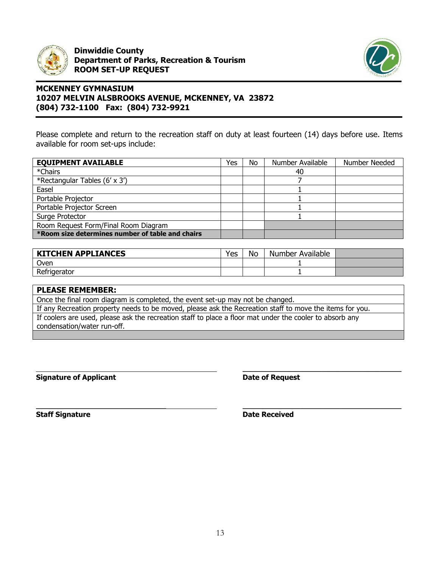

**Dinwiddie County Department of Parks, Recreation & Tourism ROOM SET-UP REQUEST**



# **MCKENNEY GYMNASIUM 10207 MELVIN ALSBROOKS AVENUE, MCKENNEY, VA 23872 (804) 732-1100 Fax: (804) 732-9921**

Please complete and return to the recreation staff on duty at least fourteen (14) days before use. Items available for room set-ups include:

| <b>EQUIPMENT AVAILABLE</b>                       | Yes | No | Number Available | Number Needed |
|--------------------------------------------------|-----|----|------------------|---------------|
| *Chairs                                          |     |    | 40               |               |
| *Rectangular Tables (6' x 3')                    |     |    |                  |               |
| Easel                                            |     |    |                  |               |
| Portable Projector                               |     |    |                  |               |
| Portable Projector Screen                        |     |    |                  |               |
| Surge Protector                                  |     |    |                  |               |
| Room Request Form/Final Room Diagram             |     |    |                  |               |
| *Room size determines number of table and chairs |     |    |                  |               |

| <b>KITCHEN APPLIANCES</b> | Yes | No | Number Available |  |
|---------------------------|-----|----|------------------|--|
| Oven                      |     |    |                  |  |
| Refrigerator              |     |    |                  |  |

| <b>PLEASE REMEMBER:</b>                                                                                  |
|----------------------------------------------------------------------------------------------------------|
| Once the final room diagram is completed, the event set-up may not be changed.                           |
| If any Recreation property needs to be moved, please ask the Recreation staff to move the items for you. |
| If coolers are used, please ask the recreation staff to place a floor mat under the cooler to absorb any |
| condensation/water run-off.                                                                              |
|                                                                                                          |

**\_\_\_\_\_\_\_\_\_\_\_\_\_\_\_\_\_\_\_\_\_\_\_\_\_\_\_\_\_\_\_\_\_\_\_\_ \_\_\_\_\_\_\_\_\_\_\_\_\_\_\_\_\_\_\_\_\_\_\_\_\_\_\_\_\_\_\_\_\_\_\_\_\_\_\_\_\_\_\_\_**

**Signature of Applicant Date of Request** 

**\_\_\_\_\_\_\_\_\_\_\_\_\_\_\_\_\_\_\_\_\_\_\_\_\_\_\_\_\_\_\_\_\_\_\_\_\_\_\_\_\_\_\_\_**

**Staff Signature Date Received**